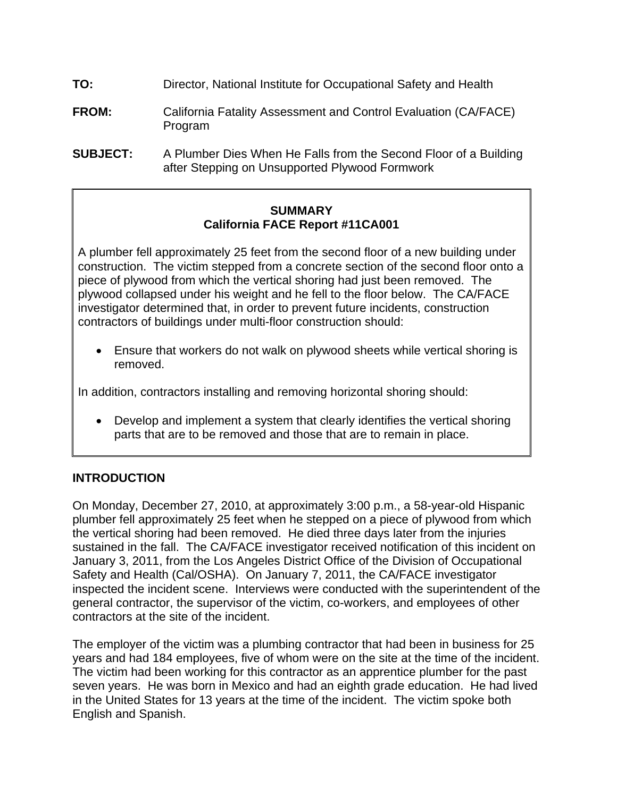- **TO:** Director, National Institute for Occupational Safety and Health
- **FROM:** California Fatality Assessment and Control Evaluation (CA/FACE) Program
- **SUBJECT:** A Plumber Dies When He Falls from the Second Floor of a Building after Stepping on Unsupported Plywood Formwork

# **California FACE Report #11CA001SUMMARY**

A plumber fell approximately 25 feet from the second floor of a new building under construction. The victim stepped from a concrete section of the second floor onto a piece of plywood from which the vertical shoring had just been removed. The plywood collapsed under his weight and he fell to the floor below. The CA/FACE investigator determined that, in order to prevent future incidents, construction contractors of buildings under multi-floor construction should:

 $\bullet$ •Ensure that workers do not walk on plywood sheets while vertical shoring is removed.

In addition, contractors installing and removing horizontal shoring should:

•Develop and implement a system that clearly identifies the vertical shoring parts that are to be removed and those that are to remain in place.

# **INTRODUCTION**

On Monday, December 27, 2010, at approximately 3:00 p.m., a 58-year-old Hispanic plumber fell approximately 25 feet when he stepped on a piece of plywood from which the vertical shoring had been removed. He died three days later from the injuries sustained in the fall. The CA/FACE investigator received notification of this incident on January 3, 2011, from the Los Angeles District Office of the Division of Occupational Safety and Health (Cal/OSHA). On January 7, 2011, the CA/FACE investigator inspected the incident scene. Interviews were conducted with the superintendent of the general contractor, the supervisor of the victim, co-workers, and employees of other contractors at the site of the incident.

The employer of the victim was a plumbing contractor that had been in business for 25 years and had 184 employees, five of whom were on the site at the time of the incident. The victim had been working for this contractor as an apprentice plumber for the past seven years. He was born in Mexico and had an eighth grade education. He had lived in the United States for 13 years at the time of the incident. The victim spoke both English and Spanish.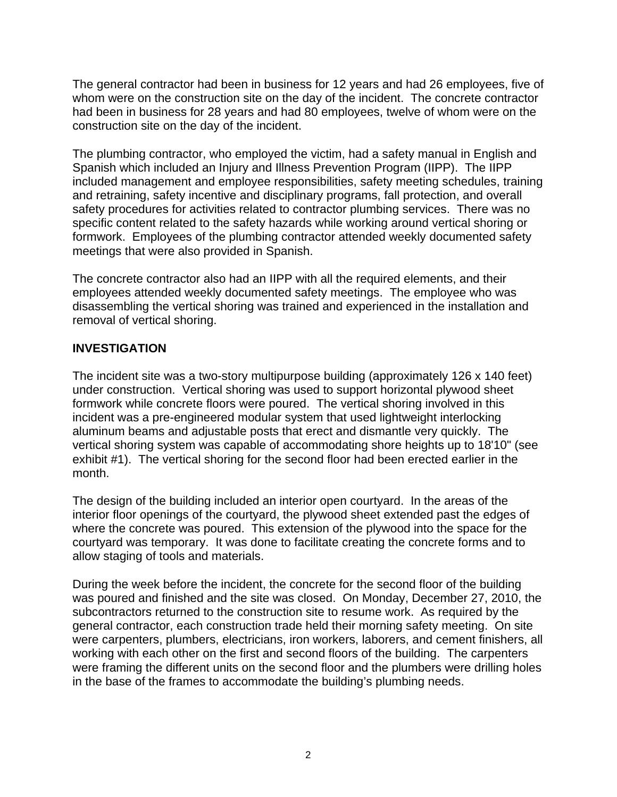The general contractor had been in business for 12 years and had 26 employees, five of whom were on the construction site on the day of the incident. The concrete contractor had been in business for 28 years and had 80 employees, twelve of whom were on the construction site on the day of the incident.

The plumbing contractor, who employed the victim, had a safety manual in English and Spanish which included an Injury and Illness Prevention Program (IIPP). The IIPP included management and employee responsibilities, safety meeting schedules, training and retraining, safety incentive and disciplinary programs, fall protection, and overall safety procedures for activities related to contractor plumbing services. There was no specific content related to the safety hazards while working around vertical shoring or formwork. Employees of the plumbing contractor attended weekly documented safety meetings that were also provided in Spanish.

The concrete contractor also had an IIPP with all the required elements, and their employees attended weekly documented safety meetings. The employee who was disassembling the vertical shoring was trained and experienced in the installation and removal of vertical shoring.

# **INVESTIGATION**

The incident site was a two-story multipurpose building (approximately 126 x 140 feet) under construction. Vertical shoring was used to support horizontal plywood sheet formwork while concrete floors were poured. The vertical shoring involved in this incident was a pre-engineered modular system that used lightweight interlocking aluminum beams and adjustable posts that erect and dismantle very quickly. The vertical shoring system was capable of accommodating shore heights up to 18'10" (see exhibit #1). The vertical shoring for the second floor had been erected earlier in the month.

The design of the building included an interior open courtyard. In the areas of the interior floor openings of the courtyard, the plywood sheet extended past the edges of where the concrete was poured. This extension of the plywood into the space for the courtyard was temporary. It was done to facilitate creating the concrete forms and to allow staging of tools and materials.

During the week before the incident, the concrete for the second floor of the building was poured and finished and the site was closed. On Monday, December 27, 2010, the subcontractors returned to the construction site to resume work. As required by the general contractor, each construction trade held their morning safety meeting. On site were carpenters, plumbers, electricians, iron workers, laborers, and cement finishers, all working with each other on the first and second floors of the building. The carpenters were framing the different units on the second floor and the plumbers were drilling holes in the base of the frames to accommodate the building's plumbing needs.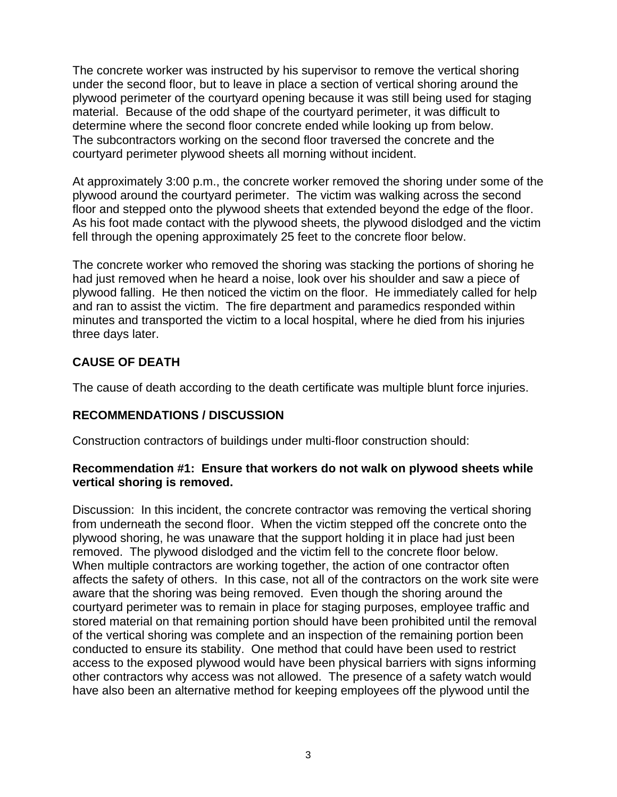The concrete worker was instructed by his supervisor to remove the vertical shoring under the second floor, but to leave in place a section of vertical shoring around the plywood perimeter of the courtyard opening because it was still being used for staging material. Because of the odd shape of the courtyard perimeter, it was difficult to determine where the second floor concrete ended while looking up from below. The subcontractors working on the second floor traversed the concrete and the courtyard perimeter plywood sheets all morning without incident.

At approximately 3:00 p.m., the concrete worker removed the shoring under some of the plywood around the courtyard perimeter. The victim was walking across the second floor and stepped onto the plywood sheets that extended beyond the edge of the floor. As his foot made contact with the plywood sheets, the plywood dislodged and the victim fell through the opening approximately 25 feet to the concrete floor below.

The concrete worker who removed the shoring was stacking the portions of shoring he had just removed when he heard a noise, look over his shoulder and saw a piece of plywood falling. He then noticed the victim on the floor. He immediately called for help and ran to assist the victim. The fire department and paramedics responded within minutes and transported the victim to a local hospital, where he died from his injuries three days later.

# **CAUSE OF DEATH**

The cause of death according to the death certificate was multiple blunt force injuries.

# **RECOMMENDATIONS / DISCUSSION**

Construction contractors of buildings under multi-floor construction should:

# **Recommendation #1: Ensure that workers do not walk on plywood sheets while vertical shoring is removed.**

Discussion: In this incident, the concrete contractor was removing the vertical shoring from underneath the second floor. When the victim stepped off the concrete onto the plywood shoring, he was unaware that the support holding it in place had just been removed. The plywood dislodged and the victim fell to the concrete floor below. When multiple contractors are working together, the action of one contractor often affects the safety of others. In this case, not all of the contractors on the work site were aware that the shoring was being removed. Even though the shoring around the courtyard perimeter was to remain in place for staging purposes, employee traffic and stored material on that remaining portion should have been prohibited until the removal of the vertical shoring was complete and an inspection of the remaining portion been conducted to ensure its stability. One method that could have been used to restrict access to the exposed plywood would have been physical barriers with signs informing other contractors why access was not allowed. The presence of a safety watch would have also been an alternative method for keeping employees off the plywood until the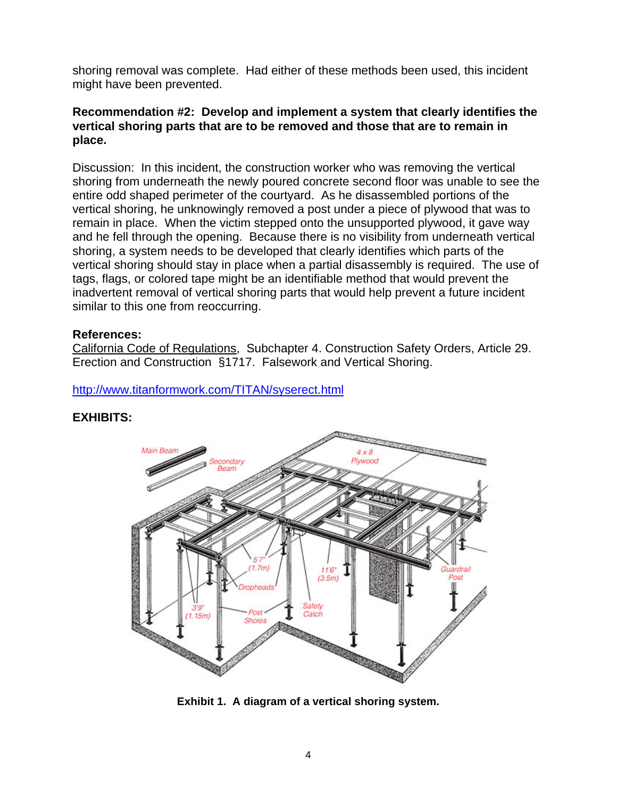shoring removal was complete. Had either of these methods been used, this incident might have been prevented.

### **Recommendation #2: Develop and implement a system that clearly identifies the vertical shoring parts that are to be removed and those that are to remain in place.**

Discussion: In this incident, the construction worker who was removing the vertical shoring from underneath the newly poured concrete second floor was unable to see the entire odd shaped perimeter of the courtyard. As he disassembled portions of the vertical shoring, he unknowingly removed a post under a piece of plywood that was to remain in place. When the victim stepped onto the unsupported plywood, it gave way and he fell through the opening. Because there is no visibility from underneath vertical shoring, a system needs to be developed that clearly identifies which parts of the vertical shoring should stay in place when a partial disassembly is required. The use of tags, flags, or colored tape might be an identifiable method that would prevent the inadvertent removal of vertical shoring parts that would help prevent a future incident similar to this one from reoccurring.

### **References:**

 Erection and Construction §1717. Falsework and Vertical Shoring. California Code of Regulations, Subchapter 4. Construction Safety Orders, Article 29.

### http://www.titanformwork.com/TITAN/syserect.html





**Exhibit 1. A diagram of a vertical shoring system.**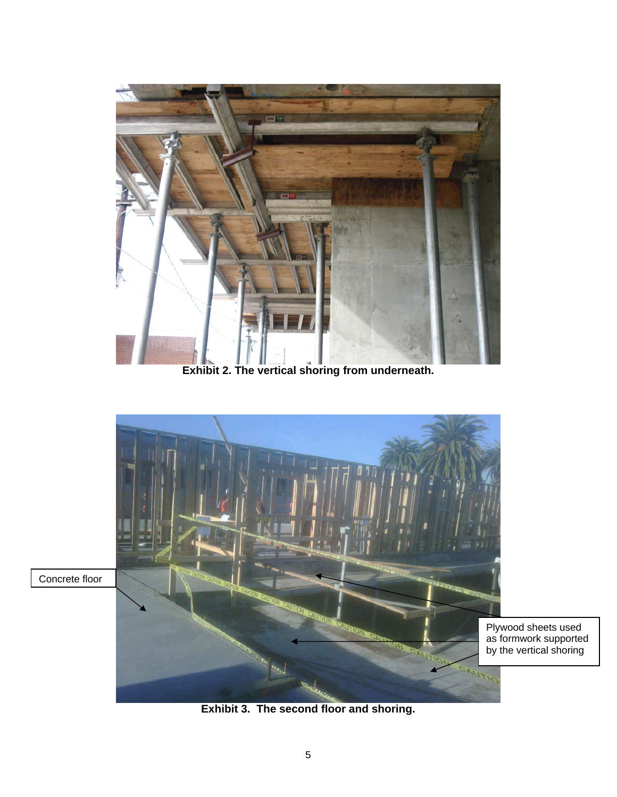

**Exhibit 2. The vertical shoring from underneath.** 



**Exhibit 3. The second floor and shoring.**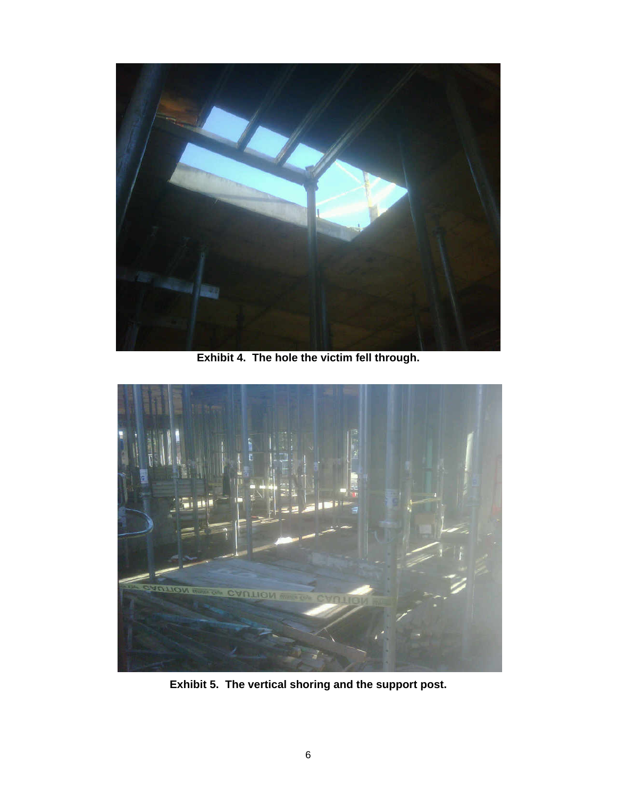

**Exhibit 4. The hole the victim fell through.** 



**Exhibit 5. The vertical shoring and the support post.**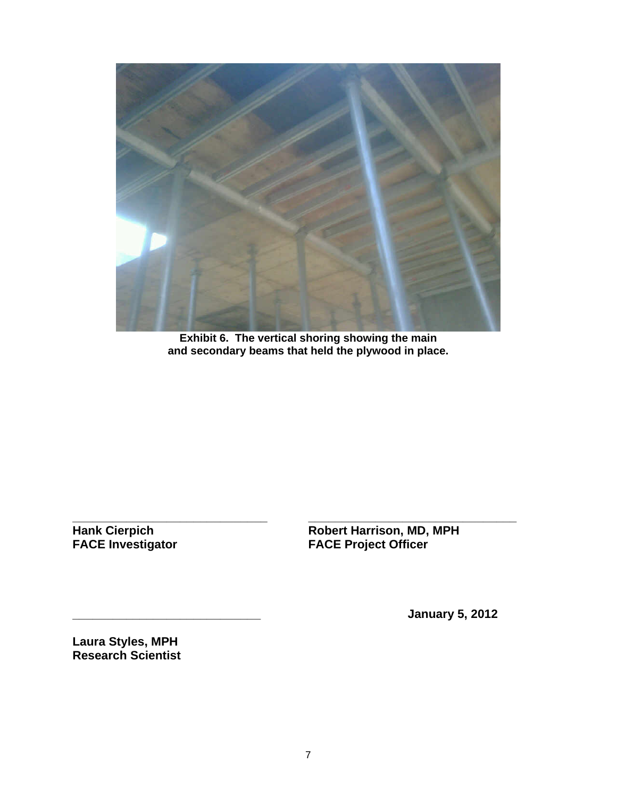

**Exhibit 6. The vertical shoring showing the main and secondary beams that held the plywood in place.** 

**\_\_\_\_\_\_\_\_\_\_\_\_\_\_\_\_\_\_\_\_\_\_\_\_\_\_\_\_\_ \_\_\_\_\_\_\_\_\_\_\_\_\_\_\_\_\_\_\_\_\_\_\_\_\_\_\_\_\_\_\_** 

**Hank Cierpich Robert Harrison, MD, MPH FACE Investigator FACE Project Officer** 

**\_\_\_\_\_\_\_\_\_\_\_\_\_\_\_\_\_\_\_\_\_\_\_\_\_\_\_\_ January 5, 2012** 

**Laura Styles, MPH Research Scientist**